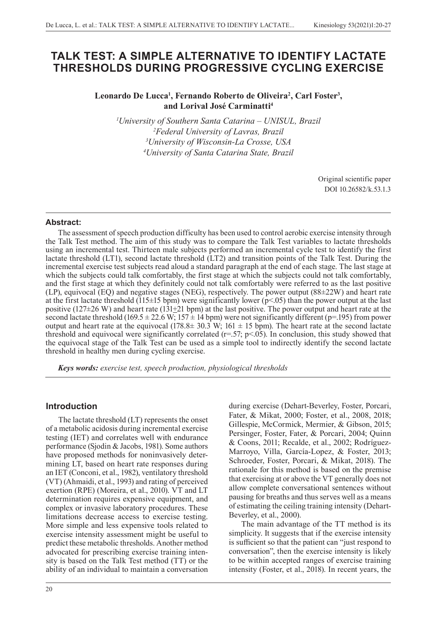# **TALK TEST: A SIMPLE ALTERNATIVE TO IDENTIFY LACTATE THRESHOLDS DURING PROGRESSIVE CYCLING EXERCISE**

# Leonardo De Lucca<sup>1</sup>, Fernando Roberto de Oliveira<sup>2</sup>, Carl Foster<sup>3</sup>, **and Lorival José Carminatti4**

 *University of Southern Santa Catarina – UNISUL, Brazil Federal University of Lavras, Brazil University of Wisconsin-La Crosse, USA University of Santa Catarina State, Brazil*

> Original scientific paper DOI 10.26582/k.53.1.3

### **Abstract:**

The assessment of speech production difficulty has been used to control aerobic exercise intensity through the Talk Test method. The aim of this study was to compare the Talk Test variables to lactate thresholds using an incremental test. Thirteen male subjects performed an incremental cycle test to identify the first lactate threshold (LT1), second lactate threshold (LT2) and transition points of the Talk Test. During the incremental exercise test subjects read aloud a standard paragraph at the end of each stage. The last stage at which the subjects could talk comfortably, the first stage at which the subjects could not talk comfortably, and the first stage at which they definitely could not talk comfortably were referred to as the last positive (LP), equivocal (EQ) and negative stages (NEG), respectively. The power output (88±22W) and heart rate at the first lactate threshold (115 $\pm$ 15 bpm) were significantly lower (p<.05) than the power output at the last positive (127 $\pm$ 26 W) and heart rate (131 $\pm$ 21 bpm) at the last positive. The power output and heart rate at the second lactate threshold (169.5  $\pm$  22.6 W; 157  $\pm$  14 bpm) were not significantly different (p=.195) from power output and heart rate at the equivocal (178.8 $\pm$  30.3 W; 161  $\pm$  15 bpm). The heart rate at the second lactate threshold and equivocal were significantly correlated  $(r=.57; p<.05)$ . In conclusion, this study showed that the equivocal stage of the Talk Test can be used as a simple tool to indirectly identify the second lactate threshold in healthy men during cycling exercise.

*Keys words: exercise test, speech production, physiological thresholds*

## **Introduction**

The lactate threshold (LT) represents the onset of a metabolic acidosis during incremental exercise testing (IET) and correlates well with endurance performance (Sjodin & Jacobs, 1981). Some authors have proposed methods for noninvasively determining LT, based on heart rate responses during an IET (Conconi, et al., 1982), ventilatory threshold (VT) (Ahmaidi, et al., 1993) and rating of perceived exertion (RPE) (Moreira, et al., 2010). VT and LT determination requires expensive equipment, and complex or invasive laboratory procedures. These limitations decrease access to exercise testing. More simple and less expensive tools related to exercise intensity assessment might be useful to predict these metabolic thresholds. Another method advocated for prescribing exercise training intensity is based on the Talk Test method (TT) or the ability of an individual to maintain a conversation

during exercise (Dehart-Beverley, Foster, Porcari, Fater, & Mikat, 2000; Foster, et al., 2008, 2018; Gillespie, McCormick, Mermier, & Gibson, 2015; Persinger, Foster, Fater, & Porcari, 2004; Quinn & Coons, 2011; Recalde, et al., 2002; Rodríguez-Marroyo, Villa, García-Lopez, & Foster, 2013; Schroeder, Foster, Porcari, & Mikat, 2018). The rationale for this method is based on the premise that exercising at or above the VT generally does not allow complete conversational sentences without pausing for breaths and thus serves well as a means of estimating the ceiling training intensity (Dehart-Beverley, et al., 2000).

The main advantage of the TT method is its simplicity. It suggests that if the exercise intensity is sufficient so that the patient can "just respond to conversation", then the exercise intensity is likely to be within accepted ranges of exercise training intensity (Foster, et al., 2018). In recent years, the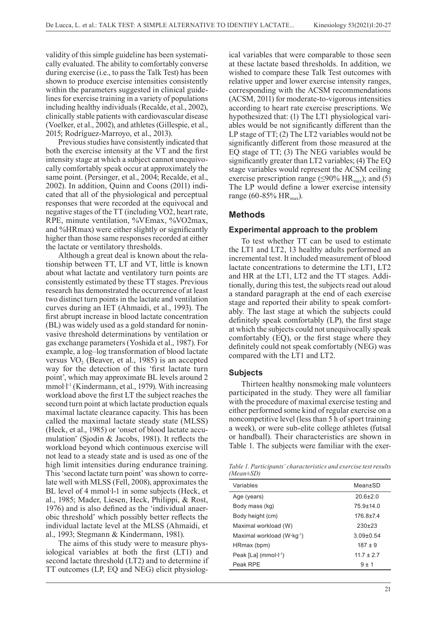validity of this simple guideline has been systematically evaluated. The ability to comfortably converse during exercise (i.e., to pass the Talk Test) has been shown to produce exercise intensities consistently within the parameters suggested in clinical guidelines for exercise training in a variety of populations including healthy individuals (Recalde, et al., 2002), clinically stable patients with cardiovascular disease (Voelker, et al., 2002), and athletes (Gillespie, et al., 2015; Rodríguez-Marroyo, et al., 2013).

Previous studies have consistently indicated that both the exercise intensity at the VT and the first intensity stage at which a subject cannot unequivocally comfortably speak occur at approximately the same point. (Persinger, et al., 2004; Recalde, et al., 2002). In addition, Quinn and Coons (2011) indicated that all of the physiological and perceptual responses that were recorded at the equivocal and negative stages of the TT (including VO2, heart rate, RPE, minute ventilation, %VEmax, %VO2max, and %HRmax) were either slightly or significantly higher than those same responses recorded at either the lactate or ventilatory thresholds.

Although a great deal is known about the relationship between TT, LT and VT, little is known about what lactate and ventilatory turn points are consistently estimated by these TT stages. Previous research has demonstrated the occurrence of at least two distinct turn points in the lactate and ventilation curves during an IET (Ahmaidi, et al., 1993). The first abrupt increase in blood lactate concentration (BL) was widely used as a gold standard for noninvasive threshold determinations by ventilation or gas exchange parameters (Yoshida et al., 1987). For example, a log–log transformation of blood lactate versus  $VO<sub>2</sub>$  (Beaver, et al., 1985) is an accepted way for the detection of this 'first lactate turn point', which may approximate BL levels around 2 mmol·l<sup>-1</sup> (Kindermann, et al., 1979). With increasing workload above the first LT the subject reaches the second turn point at which lactate production equals maximal lactate clearance capacity. This has been called the maximal lactate steady state (MLSS) (Heck, et al., 1985) or 'onset of blood lactate accumulation' (Sjodin & Jacobs, 1981). It reflects the workload beyond which continuous exercise will not lead to a steady state and is used as one of the high limit intensities during endurance training. This 'second lactate turn point' was shown to correlate well with MLSS (Fell, 2008), approximates the BL level of 4 mmol·l-1 in some subjects (Heck, et al., 1985; Mader, Liesen, Heck, Philippi, & Rost, 1976) and is also defined as the 'individual anaerobic threshold' which possibly better reflects the individual lactate level at the MLSS (Ahmaidi, et al., 1993; Stegmann & Kindermann, 1981).

The aims of this study were to measure physiological variables at both the first (LT1) and second lactate threshold (LT2) and to determine if TT outcomes (LP, EQ and NEG) elicit physiological variables that were comparable to those seen at these lactate based thresholds. In addition, we wished to compare these Talk Test outcomes with relative upper and lower exercise intensity ranges, corresponding with the ACSM recommendations (ACSM, 2011) for moderate-to-vigorous intensities according to heart rate exercise prescriptions. We hypothesized that: (1) The LT1 physiological variables would be not significantly different than the LP stage of TT; (2) The LT2 variables would not be significantly different from those measured at the EQ stage of TT; (3) The NEG variables would be significantly greater than LT2 variables; (4) The EQ stage variables would represent the ACSM ceiling exercise prescription range ( $\leq$ 90% HR<sub>max</sub>); and (5) The LP would define a lower exercise intensity range (60-85%  $HR_{max}$ ).

## **Methods**

#### **Experimental approach to the problem**

To test whether TT can be used to estimate the LT1 and LT2, 13 healthy adults performed an incremental test. It included measurement of blood lactate concentrations to determine the LT1, LT2 and HR at the LT1, LT2 and the TT stages. Additionally, during this test, the subjects read out aloud a standard paragraph at the end of each exercise stage and reported their ability to speak comfortably. The last stage at which the subjects could definitely speak comfortably (LP), the first stage at which the subjects could not unequivocally speak comfortably (EQ), or the first stage where they definitely could not speak comfortably (NEG) was compared with the LT1 and LT2.

### **Subjects**

Thirteen healthy nonsmoking male volunteers participated in the study. They were all familiar with the procedure of maximal exercise testing and either performed some kind of regular exercise on a noncompetitive level (less than 5 h of sport training a week), or were sub-elite college athletes (futsal or handball). Their characteristics are shown in Table 1. The subjects were familiar with the exer-

*Table 1. Participants' characteristics and exercise test results (Mean±SD)*

| Variables                                         | Mean+SD        |
|---------------------------------------------------|----------------|
| Age (years)                                       | $206+20$       |
| Body mass (kg)                                    | 75 9 + 14 0    |
| Body height (cm)                                  | 176 8+74       |
| Maximal workload (W)                              | $230+23$       |
| Maximal workload $(W \cdot kq^{-1})$              | $3.09\pm0.54$  |
| HRmax (bpm)                                       | $187 + 9$      |
| Peak $[La]$ (mmol $\cdot$ $\vdash$ <sup>1</sup> ) | $11.7 \pm 2.7$ |
| Peak RPF                                          | $9 + 1$        |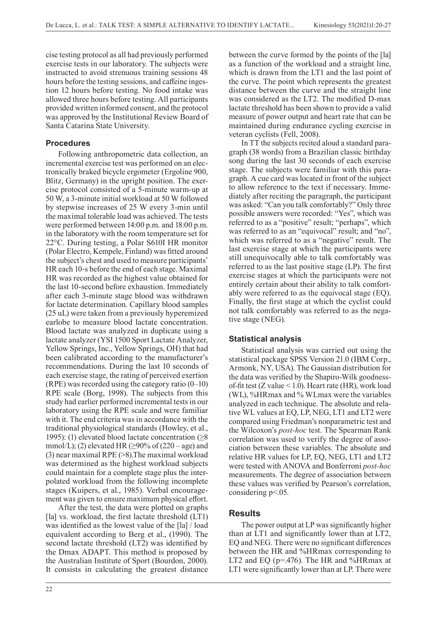cise testing protocol as all had previously performed exercise tests in our laboratory. The subjects were instructed to avoid strenuous training sessions 48 hours before the testing sessions, and caffeine ingestion 12 hours before testing. No food intake was allowed three hours before testing. All participants provided written informed consent, and the protocol was approved by the Institutional Review Board of Santa Catarina State University.

### **Procedures**

Following anthropometric data collection, an incremental exercise test was performed on an electronically braked bicycle ergometer (Ergoline 900, Blitz, Germany) in the upright position. The exercise protocol consisted of a 5-minute warm-up at 50 W, a 3-minute initial workload at 50 W followed by stepwise increases of 25 W every 3-min until the maximal tolerable load was achieved. The tests were performed between 14:00 p.m. and 18:00 p.m. in the laboratory with the room temperature set for 22°C. During testing, a Polar S610I HR monitor (Polar Electro, Kempele, Finland) was fitted around the subject's chest and used to measure participants' HR each 10-s before the end of each stage. Maximal HR was recorded as the highest value obtained for the last 10-second before exhaustion. Immediately after each 3-minute stage blood was withdrawn for lactate determination. Capillary blood samples (25 uL) were taken from a previously hyperemized earlobe to measure blood lactate concentration. Blood lactate was analyzed in duplicate using a lactate analyzer (YSI 1500 Sport Lactate Analyzer, Yellow Springs, Inc., Yellow Springs, OH) that had been calibrated according to the manufacturer's recommendations. During the last 10 seconds of each exercise stage, the rating of perceived exertion (RPE) was recorded using the category ratio  $(0-10)$ RPE scale (Borg, 1998). The subjects from this study had earlier performed incremental tests in our laboratory using the RPE scale and were familiar with it. The end criteria was in accordance with the traditional physiological standards (Howley, et al., 1995): (1) elevated blood lactate concentration  $(≥8)$ mmol/L); (2) elevated HR ( $\geq$ 90% of (220 – age) and (3) near maximal RPE (>8).The maximal workload was determined as the highest workload subjects could maintain for a complete stage plus the interpolated workload from the following incomplete stages (Kuipers, et al., 1985). Verbal encouragement was given to ensure maximum physical effort.

After the test, the data were plotted on graphs [la] vs. workload, the first lactate threshold (LT1) was identified as the lowest value of the [la] / load equivalent according to Berg et al., (1990). The second lactate threshold (LT2) was identified by the Dmax ADAPT. This method is proposed by the Australian Institute of Sport (Bourdon, 2000). It consists in calculating the greatest distance

between the curve formed by the points of the [la] as a function of the workload and a straight line, which is drawn from the LT1 and the last point of the curve. The point which represents the greatest distance between the curve and the straight line was considered as the LT2. The modified D-max lactate threshold has been shown to provide a valid measure of power output and heart rate that can be maintained during endurance cycling exercise in veteran cyclists (Fell, 2008).

In TT the subjects recited aloud a standard paragraph (38 words) from a Brazilian classic birthday song during the last 30 seconds of each exercise stage. The subjects were familiar with this paragraph. A cue card was located in front of the subject to allow reference to the text if necessary. Immediately after reciting the paragraph, the participant was asked: "Can you talk comfortably?" Only three possible answers were recorded: "Yes", which was referred to as a "positive" result; "perhaps", which was referred to as an "equivocal" result; and "no", which was referred to as a "negative" result. The last exercise stage at which the participants were still unequivocally able to talk comfortably was referred to as the last positive stage (LP). The first exercise stages at which the participants were not entirely certain about their ability to talk comfortably were referred to as the equivocal stage (EQ). Finally, the first stage at which the cyclist could not talk comfortably was referred to as the negative stage (NEG).

### **Statistical analysis**

Statistical analysis was carried out using the statistical package SPSS Version 21.0 (IBM Corp., Armonk, NY, USA). The Gaussian distribution for the data was verified by the Shapiro-Wilk goodnessof-fit test (Z value < 1.0). Heart rate (HR), work load (WL), %HRmax and % WLmax were the variables analyzed in each technique. The absolute and relative WL values at EQ, LP, NEG, LT1 and LT2 were compared using Friedman's nonparametric test and the Wilcoxon's *post-hoc* test. The Spearman Rank correlation was used to verify the degree of association between these variables. The absolute and relative HR values for LP, EQ, NEG, LT1 and LT2 were tested with ANOVA and Bonferroni *post-hoc* measurements. The degree of association between these values was verified by Pearson's correlation, considering p<.05.

### **Results**

The power output at LP was significantly higher than at LT1 and significantly lower than at LT2, EQ and NEG. There were no significant differences between the HR and %HRmax corresponding to LT2 and EQ (p=.476). The HR and %HRmax at LT1 were significantly lower than at LP. There were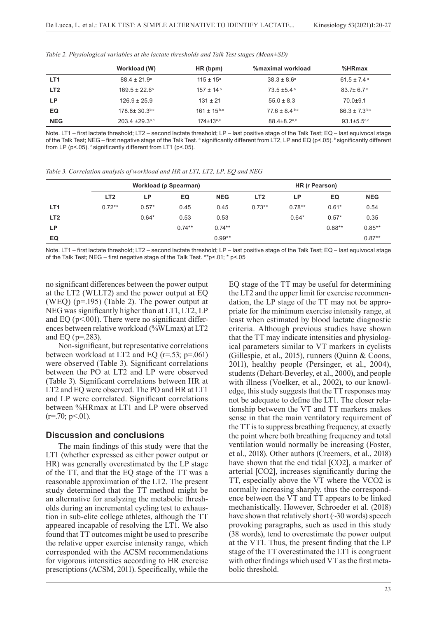|                 | Workload (W)                    | HR (bpm)             | %maximal workload             | %HRmax                        |
|-----------------|---------------------------------|----------------------|-------------------------------|-------------------------------|
| LT <sub>1</sub> | $88.4 \pm 21.9^{\circ}$         | $115 \pm 15^a$       | $38.3 \pm 8.6^{\circ}$        | $61.5 \pm 7.4$ <sup>a</sup>   |
| LT <sub>2</sub> | $169.5 \pm 22.6^{\circ}$        | $157 \pm 14^{\circ}$ | $73.5 \pm 5.4^{\circ}$        | $83.7 \pm 6.7^{\circ}$        |
| LP.             | $126.9 \pm 25.9$                | $131 \pm 21$         | $55.0 \pm 8.3$                | $70.0 + 9.1$                  |
| EQ              | $178.8 \pm 30.3$ <sup>b,c</sup> | $161 + 15^{b,c}$     | $77.6 \pm 8.4$ b,c            | $86.3 \pm 7.3$ b,c            |
| <b>NEG</b>      | $203.4 + 29.3$ <sup>a,c</sup>   | $174 \pm 13^{a,c}$   | $88.4 \pm 8.2$ <sup>a,c</sup> | $93.1 \pm 5.5$ <sup>a,c</sup> |

*Table 2. Physiological variables at the lactate thresholds and Talk Test stages (Mean±SD)*

Note. LT1 – first lactate threshold; LT2 – second lactate threshold; LP – last positive stage of the Talk Test; EQ – last equivocal stage of the Talk Test; NEG – first negative stage of the Talk Test. ª significantly different from LT2, LP and EQ (p<.05). <sup>b</sup> significantly different from LP ( $p$ <.05).  $\circ$  significantly different from LT1 ( $p$ <.05).

*Table 3. Correlation analysis of workload and HR at LT1, LT2, LP, EQ and NEG*

|                 | Workload (p Spearman) |         |           | HR (r Pearson) |                 |          |          |            |
|-----------------|-----------------------|---------|-----------|----------------|-----------------|----------|----------|------------|
|                 | LT <sub>2</sub>       | LP      | EQ        | <b>NEG</b>     | LT <sub>2</sub> | LP       | EQ       | <b>NEG</b> |
| LT <sub>1</sub> | $0.72**$              | $0.57*$ | 0.45      | 0.45           | $0.73**$        | $0.78**$ | $0.61*$  | 0.54       |
| LT <sub>2</sub> |                       | $0.64*$ | 0.53      | 0.53           |                 | $0.64*$  | $0.57*$  | 0.35       |
| LP.             |                       |         | $0.74***$ | $0.74**$       |                 |          | $0.88**$ | $0.85***$  |
| EQ              |                       |         |           | $0.99**$       |                 |          |          | $0.87**$   |

Note. LT1 – first lactate threshold; LT2 – second lactate threshold; LP – last positive stage of the Talk Test; EQ – last equivocal stage of the Talk Test; NEG – first negative stage of the Talk Test. \*\*p<.01; \* p<.05

no significant differences between the power output at the LT2 (WLLT2) and the power output at EQ (WEQ) (p=.195) (Table 2). The power output at NEG was significantly higher than at LT1, LT2, LP and EQ ( $p$ <.001). There were no significant differences between relative workload (%WLmax) at LT2 and EQ ( $p = 283$ ).

Non-significant, but representative correlations between workload at LT2 and EQ ( $r=53$ ;  $p=.061$ ) were observed (Table 3). Significant correlations between the PO at LT2 and LP were observed (Table 3). Significant correlations between HR at LT2 and EQ were observed. The PO and HR at LT1 and LP were correlated. Significant correlations between %HRmax at LT1 and LP were observed  $(r=.70; p<.01)$ .

## **Discussion and conclusions**

The main findings of this study were that the LT1 (whether expressed as either power output or HR) was generally overestimated by the LP stage of the TT, and that the EQ stage of the TT was a reasonable approximation of the LT2. The present study determined that the TT method might be an alternative for analyzing the metabolic thresholds during an incremental cycling test to exhaustion in sub-elite college athletes, although the TT appeared incapable of resolving the LT1. We also found that TT outcomes might be used to prescribe the relative upper exercise intensity range, which corresponded with the ACSM recommendations for vigorous intensities according to HR exercise prescriptions (ACSM, 2011). Specifically, while the

EQ stage of the TT may be useful for determining the LT2 and the upper limit for exercise recommendation, the LP stage of the TT may not be appropriate for the minimum exercise intensity range, at least when estimated by blood lactate diagnostic criteria. Although previous studies have shown that the TT may indicate intensities and physiological parameters similar to VT markers in cyclists (Gillespie, et al., 2015), runners (Quinn & Coons, 2011), healthy people (Persinger, et al., 2004), students (Dehart-Beverley, et al., 2000), and people with illness (Voelker, et al., 2002), to our knowledge, this study suggests that the TT responses may not be adequate to define the LT1. The closer relationship between the VT and TT markers makes sense in that the main ventilatory requirement of the TT is to suppress breathing frequency, at exactly the point where both breathing frequency and total ventilation would normally be increasing (Foster, et al., 2018). Other authors (Creemers, et al., 2018) have shown that the end tidal [CO2], a marker of arterial [CO2], increases significantly during the TT, especially above the VT where the VCO2 is normally increasing sharply, thus the correspondence between the VT and TT appears to be linked mechanistically. However, Schroeder et al. (2018) have shown that relatively short  $(\sim]30$  words) speech provoking paragraphs, such as used in this study (38 words), tend to overestimate the power output at the VT1. Thus, the present finding that the LP stage of the TT overestimated the LT1 is congruent with other findings which used VT as the first metabolic threshold.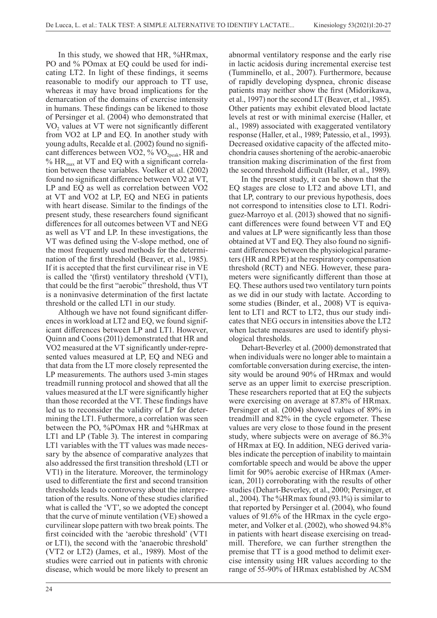In this study, we showed that HR, %HRmax, PO and % POmax at EQ could be used for indicating LT2. In light of these findings, it seems reasonable to modify our approach to TT use, whereas it may have broad implications for the demarcation of the domains of exercise intensity in humans. These findings can be likened to those of Persinger et al. (2004) who demonstrated that VO<sub>2</sub> values at VT were not significantly different from VO2 at LP and EQ. In another study with young adults, Recalde et al. (2002) found no significant differences between VO2, %  $VO_{2peak}$ , HR and  $% HR_{max}$  at VT and EQ with a significant correlation between these variables. Voelker et al. (2002) found no significant difference between VO2 at VT, LP and EQ as well as correlation between VO2 at VT and VO2 at LP, EQ and NEG in patients with heart disease. Similar to the findings of the present study, these researchers found significant differences for all outcomes between VT and NEG as well as VT and LP. In these investigations, the VT was defined using the V-slope method, one of the most frequently used methods for the determination of the first threshold (Beaver, et al., 1985). If it is accepted that the first curvilinear rise in VE is called the '(first) ventilatory threshold (VT1), that could be the first "aerobic" threshold, thus VT is a noninvasive determination of the first lactate threshold or the called LT1 in our study.

Although we have not found significant differences in workload at LT2 and EQ, we found significant differences between LP and LT1. However, Quinn and Coons (2011) demonstrated that HR and VO2 measured at the VT significantly under-represented values measured at LP, EQ and NEG and that data from the LT more closely represented the LP measurements. The authors used 3-min stages treadmill running protocol and showed that all the values measured at the LT were significantly higher than those recorded at the VT. These findings have led us to reconsider the validity of LP for determining the LT1. Futhermore, a correlation was seen between the PO, %POmax HR and %HRmax at LT1 and LP (Table 3). The interest in comparing LT1 variables with the TT values was made necessary by the absence of comparative analyzes that also addressed the first transition threshold (LT1 or VT1) in the literature. Moreover, the terminology used to differentiate the first and second transition thresholds leads to controversy about the interpretation of the results. None of these studies clarified what is called the 'VT', so we adopted the concept that the curve of minute ventilation (VE) showed a curvilinear slope pattern with two break points. The first coincided with the 'aerobic threshold' (VT1 or LT1), the second with the 'anaerobic threshold' (VT2 or LT2) (James, et al., 1989). Most of the studies were carried out in patients with chronic disease, which would be more likely to present an

abnormal ventilatory response and the early rise in lactic acidosis during incremental exercise test (Tumminello, et al., 2007). Furthermore, because of rapidly developing dyspnea, chronic disease patients may neither show the first (Midorikawa, et al., 1997) nor the second LT (Beaver, et al., 1985). Other patients may exhibit elevated blood lactate levels at rest or with minimal exercise (Haller, et al., 1989) associated with exaggerated ventilatory response (Haller, et al., 1989; Patessio, et al., 1993). Decreased oxidative capacity of the affected mitochondria causes shortening of the aerobic-anaerobic transition making discrimination of the first from the second threshold difficult (Haller, et al., 1989).

In the present study, it can be shown that the EQ stages are close to LT2 and above LT1, and that LP, contrary to our previous hypothesis, does not correspond to intensities close to LT1. Rodriguez-Marroyo et al. (2013) showed that no significant differences were found between VT and EQ and values at LP were significantly less than those obtained at VT and EQ. They also found no significant differences between the physiological parameters (HR and RPE) at the respiratory compensation threshold (RCT) and NEG. However, these parameters were significantly different than those at EQ. These authors used two ventilatory turn points as we did in our study with lactate. According to some studies (Binder, et al., 2008) VT is equivalent to LT1 and RCT to LT2, thus our study indicates that NEG occurs in intensities above the LT2 when lactate measures are used to identify physiological thresholds.

Dehart-Beverley et al. (2000) demonstrated that when individuals were no longer able to maintain a comfortable conversation during exercise, the intensity would be around 90% of HRmax and would serve as an upper limit to exercise prescription. These researchers reported that at EQ the subjects were exercising on average at 87.8% of HRmax. Persinger et al. (2004) showed values of 89% in treadmill and 82% in the cycle ergometer. These values are very close to those found in the present study, where subjects were on average of 86.3% of HRmax at EQ. In addition, NEG derived variables indicate the perception of inability to maintain comfortable speech and would be above the upper limit for 90% aerobic exercise of HRmax (American, 2011) corroborating with the results of other studies (Dehart-Beverley, et al., 2000; Persinger, et al., 2004). The %HRmax found (93.1%) is similar to that reported by Persinger et al. (2004), who found values of 91.6% of the HRmax in the cycle ergometer, and Volker et al. (2002), who showed 94.8% in patients with heart disease exercising on treadmill. Therefore, we can further strengthen the premise that TT is a good method to delimit exercise intensity using HR values according to the range of 55-90% of HRmax established by ACSM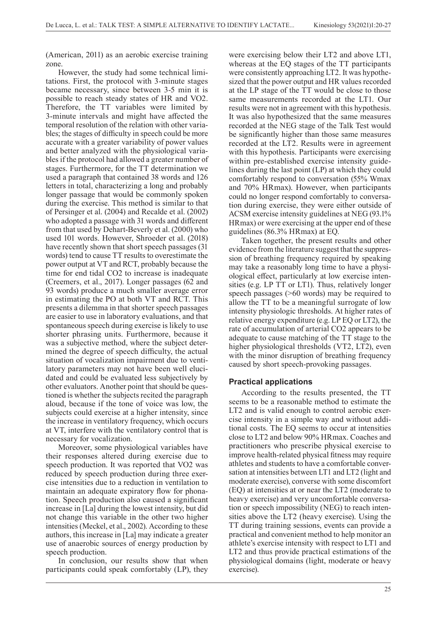(American, 2011) as an aerobic exercise training zone.

However, the study had some technical limitations. First, the protocol with 3-minute stages became necessary, since between 3-5 min it is possible to reach steady states of HR and VO2. Therefore, the TT variables were limited by 3-minute intervals and might have affected the temporal resolution of the relation with other variables; the stages of difficulty in speech could be more accurate with a greater variability of power values and better analyzed with the physiological variables if the protocol had allowed a greater number of stages. Furthermore, for the TT determination we used a paragraph that contained 38 words and 126 letters in total, characterizing a long and probably longer passage that would be commonly spoken during the exercise. This method is similar to that of Persinger et al. (2004) and Recalde et al. (2002) who adopted a passage with 31 words and different from that used by Dehart-Beverly et al. (2000) who used 101 words. However, Shroeder et al. (2018) have recently shown that short speech passages (31 words) tend to cause TT results to overestimate the power output at VT and RCT, probably because the time for end tidal CO2 to increase is inadequate (Creemers, et al., 2017). Longer passages (62 and 93 words) produce a much smaller average error in estimating the PO at both VT and RCT. This presents a dilemma in that shorter speech passages are easier to use in laboratory evaluations, and that spontaneous speech during exercise is likely to use shorter phrasing units. Furthermore, because it was a subjective method, where the subject determined the degree of speech difficulty, the actual situation of vocalization impairment due to ventilatory parameters may not have been well elucidated and could be evaluated less subjectively by other evaluators. Another point that should be questioned is whether the subjects recited the paragraph aloud, because if the tone of voice was low, the subjects could exercise at a higher intensity, since the increase in ventilatory frequency, which occurs at VT, interfere with the ventilatory control that is necessary for vocalization.

Moreover, some physiological variables have their responses altered during exercise due to speech production. It was reported that VO2 was reduced by speech production during three exercise intensities due to a reduction in ventilation to maintain an adequate expiratory flow for phonation. Speech production also caused a significant increase in [La] during the lowest intensity, but did not change this variable in the other two higher intensities (Meckel, et al., 2002). According to these authors, this increase in [La] may indicate a greater use of anaerobic sources of energy production by speech production.

In conclusion, our results show that when participants could speak comfortably (LP), they

were exercising below their LT2 and above LT1, whereas at the EQ stages of the TT participants were consistently approaching LT2. It was hypothesized that the power output and HR values recorded at the LP stage of the TT would be close to those same measurements recorded at the LT1. Our results were not in agreement with this hypothesis. It was also hypothesized that the same measures recorded at the NEG stage of the Talk Test would be significantly higher than those same measures recorded at the LT2. Results were in agreement with this hypothesis. Participants were exercising within pre-established exercise intensity guidelines during the last point (LP) at which they could comfortably respond to conversation (55% Wmax and 70% HRmax). However, when participants could no longer respond comfortably to conversation during exercise, they were either outside of ACSM exercise intensity guidelines at NEG (93.1% HRmax) or were exercising at the upper end of these guidelines (86.3% HRmax) at EQ.

Taken together, the present results and other evidence from the literature suggest that the suppression of breathing frequency required by speaking may take a reasonably long time to have a physiological effect, particularly at low exercise intensities (e.g. LP TT or LT1). Thus, relatively longer speech passages (>60 words) may be required to allow the TT to be a meaningful surrogate of low intensity physiologic thresholds. At higher rates of relative energy expenditure (e.g. LP EQ or LT2), the rate of accumulation of arterial CO2 appears to be adequate to cause matching of the TT stage to the higher physiological thresholds (VT2, LT2), even with the minor disruption of breathing frequency caused by short speech-provoking passages.

## **Practical applications**

According to the results presented, the TT seems to be a reasonable method to estimate the LT2 and is valid enough to control aerobic exercise intensity in a simple way and without additional costs. The EQ seems to occur at intensities close to LT2 and below 90% HRmax. Coaches and practitioners who prescribe physical exercise to improve health-related physical fitness may require athletes and students to have a comfortable conversation at intensities between LT1 and LT2 (light and moderate exercise), converse with some discomfort (EQ) at intensities at or near the LT2 (moderate to heavy exercise) and very uncomfortable conversation or speech impossibility (NEG) to reach intensities above the LT2 (heavy exercise). Using the TT during training sessions, events can provide a practical and convenient method to help monitor an athlete's exercise intensity with respect to LT1 and LT2 and thus provide practical estimations of the physiological domains (light, moderate or heavy exercise).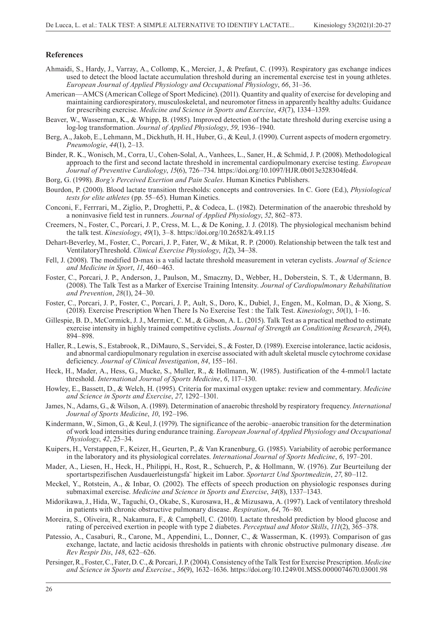#### **References**

- Ahmaidi, S., Hardy, J., Varray, A., Collomp, K., Mercier, J., & Prefaut, C. (1993). Respiratory gas exchange indices used to detect the blood lactate accumulation threshold during an incremental exercise test in young athletes. *European Journal of Applied Physiology and Occupational Physiology*, *66*, 31–36.
- American—AMCS (American College of Sport Medicine). (2011). Quantity and quality of exercise for developing and maintaining cardiorespiratory, musculoskeletal, and neuromotor fitness in apparently healthy adults: Guidance for prescribing exercise. *Medicine and Science in Sports and Exercise*, *43*(7), 1334–1359.
- Beaver, W., Wasserman, K., & Whipp, B. (1985). Improved detection of the lactate threshold during exercise using a log-log transformation. *Journal of Applied Physiology*, *59*, 1936–1940.
- Berg, A., Jakob, E., Lehmann, M., Dickhuth, H. H., Huber, G., & Keul, J. (1990). Current aspects of modern ergometry. *Pneumologie*, *44*(1), 2–13.
- Binder, R. K., Wonisch, M., Corra, U., Cohen-Solal, A., Vanhees, L., Saner, H., & Schmid, J. P. (2008). Methodological approach to the first and second lactate threshold in incremental cardiopulmonary exercise testing. *European Journal of Preventive Cardiology*, *15*(6), 726–734. https://doi.org/10.1097/HJR.0b013e328304fed4.
- Borg, G. (1998). *Borg's Perceived Exertion and Pain Scales*. Human Kinetics Publishers.
- Bourdon, P. (2000). Blood lactate transition thresholds: concepts and controversies. In C. Gore (Ed.), *Physiological tests for elite athletes* (pp. 55–65). Human Kinetics.
- Conconi, F., Ferrrari, M., Ziglio, P., Droghetti, P., & Codeca, L. (1982). Determination of the anaerobic threshold by a noninvasive field test in runners. *Journal of Applied Physiology*, *52*, 862–873.
- Creemers, N., Foster, C., Porcari, J. P., Cress, M. L., & De Koning, J. J. (2018). The physiological mechanism behind the talk test. *Kinesiology*, *49*(1), 3–8. https://doi.org/10.26582/k.49.1.15
- Dehart-Beverley, M., Foster, C., Porcari, J. P., Fater, W., & Mikat, R. P. (2000). Relationship between the talk test and VentilatoryThreshold. *Clinical Exercise Physiology*, *1*(2), 34–38.
- Fell, J. (2008). The modified D-max is a valid lactate threshold measurement in veteran cyclists. *Journal of Science and Medicine in Sport*, *11*, 460–463.
- Foster, C., Porcari, J. P., Anderson, J., Paulson, M., Smaczny, D., Webber, H., Doberstein, S. T., & Udermann, B. (2008). The Talk Test as a Marker of Exercise Training Intensity. *Journal of Cardiopulmonary Rehabilitation and Prevention*, *28*(1), 24–30.
- Foster, C., Porcari, J. P., Foster, C., Porcari, J. P., Ault, S., Doro, K., Dubiel, J., Engen, M., Kolman, D., & Xiong, S. (2018). Exercise Prescription When There Is No Exercise Test : the Talk Test. *Kinesiology*, *50*(1), 1–16.
- Gillespie, B. D., McCormick, J. J., Mermier, C. M., & Gibson, A. L. (2015). Talk Test as a practical method to estimate exercise intensity in highly trained competitive cyclists. *Journal of Strength an Conditioning Research*, *29*(4), 894–898.
- Haller, R., Lewis, S., Estabrook, R., DiMauro, S., Servidei, S., & Foster, D. (1989). Exercise intolerance, lactic acidosis, and abnormal cardiopulmonary regulation in exercise associated with adult skeletal muscle cytochrome coxidase deficiency. *Journal of Clinical Investigation*, *84*, 155–161.
- Heck, H., Mader, A., Hess, G., Mucke, S., Muller, R., & Hollmann, W. (1985). Justification of the 4-mmol/l lactate threshold. *International Journal of Sports Medicine*, *6*, 117–130.
- Howley, E., Bassett, D., & Welch, H. (1995). Criteria for maximal oxygen uptake: review and commentary. *Medicine and Science in Sports and Exercise*, *27*, 1292–1301.
- James, N., Adams, G., & Wilson, A. (1989). Determination of anaerobic threshold by respiratory frequency. *International Journal of Sports Medicine*, *10*, 192–196.
- Kindermann, W., Simon, G., & Keul, J. (1979). The significance of the aerobic–anaerobic transition for the determination of work load intensities during endurance training. *European Journal of Applied Physiology and Occupational Physiology*, *42*, 25–34.
- Kuipers, H., Verstappen, F., Keizer, H., Geurten, P., & Van Kranenburg, G. (1985). Variability of aerobic performance in the laboratory and its physiological correlates. *International Journal of Sports Medicine*, *6*, 197–201.
- Mader, A., Liesen, H., Heck, H., Philippi, H., Rost, R., Schuerch, P., & Hollmann, W. (1976). Zur Beurteilung der sportartspezifischen Ausdauerleistungsfa¨ higkeit im Labor. *Sportarzt Und Sportmedizin*, *27*, 80–112.
- Meckel, Y., Rotstein, A., & Inbar, O. (2002). The effects of speech production on physiologic responses during submaximal exercise. *Medicine and Science in Sports and Exercise*, *34*(8), 1337–1343.
- Midorikawa, J., Hida, W., Taguchi, O., Okabe, S., Kurosawa, H., & Mizusawa, A. (1997). Lack of ventilatory threshold in patients with chronic obstructive pulmonary disease. *Respiration*, *64*, 76–80.
- Moreira, S., Oliveira, R., Nakamura, F., & Campbell, C. (2010). Lactate threshold prediction by blood glucose and rating of perceived exertion in people with type 2 diabetes. *Perceptual and Motor Skills*, *111*(2), 365–378.
- Patessio, A., Casaburi, R., Carone, M., Appendini, L., Donner, C., & Wasserman, K. (1993). Comparison of gas exchange, lactate, and lactic acidosis thresholds in patients with chronic obstructive pulmonary disease. *Am Rev Respir Dis*, *148*, 622–626.
- Persinger, R., Foster, C., Fater, D. C., & Porcari, J. P. (2004). Consistency of the Talk Test for Exercise Prescription. *Medicine and Science in Sports and Exercise.*, *36*(9), 1632–1636. https://doi.org/10.1249/01.MSS.0000074670.03001.98